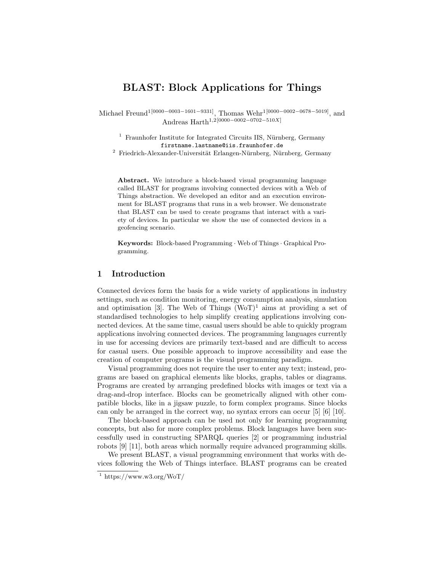# BLAST: Block Applications for Things

Michael Freund1[0000−0003−1601−9331], Thomas Wehr1[0000−0002−0678−5019], and Andreas Harth1,2[0000−0002−0702−510X]

 $1$  Fraunhofer Institute for Integrated Circuits IIS, Nürnberg, Germany firstname.lastname@iis.fraunhofer.de

 $2$  Friedrich-Alexander-Universität Erlangen-Nürnberg, Nürnberg, Germany

Abstract. We introduce a block-based visual programming language called BLAST for programs involving connected devices with a Web of Things abstraction. We developed an editor and an execution environment for BLAST programs that runs in a web browser. We demonstrate that BLAST can be used to create programs that interact with a variety of devices. In particular we show the use of connected devices in a geofencing scenario.

Keywords: Block-based Programming · Web of Things · Graphical Programming.

## 1 Introduction

Connected devices form the basis for a wide variety of applications in industry settings, such as condition monitoring, energy consumption analysis, simulation and optimisation [3]. The Web of Things  $(WoT)^1$  aims at providing a set of standardised technologies to help simplify creating applications involving connected devices. At the same time, casual users should be able to quickly program applications involving connected devices. The programming languages currently in use for accessing devices are primarily text-based and are difficult to access for casual users. One possible approach to improve accessibility and ease the creation of computer programs is the visual programming paradigm.

Visual programming does not require the user to enter any text; instead, programs are based on graphical elements like blocks, graphs, tables or diagrams. Programs are created by arranging predefined blocks with images or text via a drag-and-drop interface. Blocks can be geometrically aligned with other compatible blocks, like in a jigsaw puzzle, to form complex programs. Since blocks can only be arranged in the correct way, no syntax errors can occur [5] [6] [10].

The block-based approach can be used not only for learning programming concepts, but also for more complex problems. Block languages have been successfully used in constructing SPARQL queries [2] or programming industrial robots [9] [11], both areas which normally require advanced programming skills.

We present BLAST, a visual programming environment that works with devices following the Web of Things interface. BLAST programs can be created

<sup>&</sup>lt;sup>1</sup> https://www.w3.org/WoT/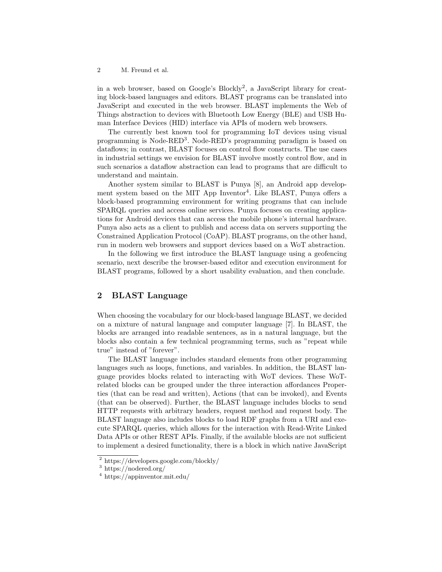2 M. Freund et al.

in a web browser, based on Google's Blockly<sup>2</sup> , a JavaScript library for creating block-based languages and editors. BLAST programs can be translated into JavaScript and executed in the web browser. BLAST implements the Web of Things abstraction to devices with Bluetooth Low Energy (BLE) and USB Human Interface Devices (HID) interface via APIs of modern web browsers.

The currently best known tool for programming IoT devices using visual programming is Node-RED<sup>3</sup>. Node-RED's programming paradigm is based on dataflows; in contrast, BLAST focuses on control flow constructs. The use cases in industrial settings we envision for BLAST involve mostly control flow, and in such scenarios a dataflow abstraction can lead to programs that are difficult to understand and maintain.

Another system similar to BLAST is Punya [8], an Android app development system based on the MIT App Inventor<sup>4</sup>. Like BLAST, Punya offers a block-based programming environment for writing programs that can include SPARQL queries and access online services. Punya focuses on creating applications for Android devices that can access the mobile phone's internal hardware. Punya also acts as a client to publish and access data on servers supporting the Constrained Application Protocol (CoAP). BLAST programs, on the other hand, run in modern web browsers and support devices based on a WoT abstraction.

In the following we first introduce the BLAST language using a geofencing scenario, next describe the browser-based editor and execution environment for BLAST programs, followed by a short usability evaluation, and then conclude.

# 2 BLAST Language

When choosing the vocabulary for our block-based language BLAST, we decided on a mixture of natural language and computer language [7]. In BLAST, the blocks are arranged into readable sentences, as in a natural language, but the blocks also contain a few technical programming terms, such as "repeat while true" instead of "forever".

The BLAST language includes standard elements from other programming languages such as loops, functions, and variables. In addition, the BLAST language provides blocks related to interacting with WoT devices. These WoTrelated blocks can be grouped under the three interaction affordances Properties (that can be read and written), Actions (that can be invoked), and Events (that can be observed). Further, the BLAST language includes blocks to send HTTP requests with arbitrary headers, request method and request body. The BLAST language also includes blocks to load RDF graphs from a URI and execute SPARQL queries, which allows for the interaction with Read-Write Linked Data APIs or other REST APIs. Finally, if the available blocks are not sufficient to implement a desired functionality, there is a block in which native JavaScript

<sup>2</sup> https://developers.google.com/blockly/

 $3$  https://nodered.org/

<sup>4</sup> https://appinventor.mit.edu/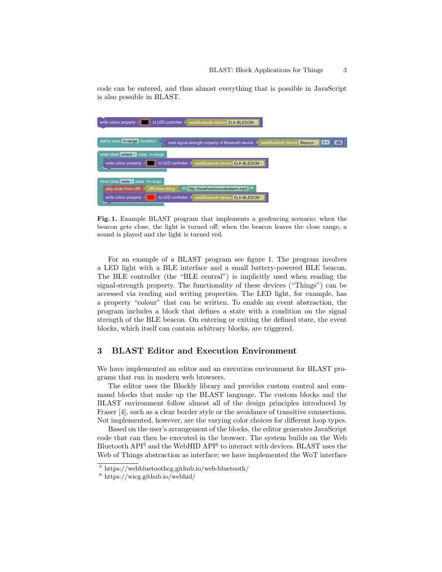code can be entered, and thus almost everything that is possible in JavaScript is also possible in BLAST.



Fig. 1. Example BLAST program that implements a geofencing scenario: when the beacon gets close, the light is turned off; when the beacon leaves the close range, a sound is played and the light is turned red.

For an example of a BLAST program see figure 1. The program involves a LED light with a BLE interface and a small battery-powered BLE beacon. The BLE controller (the "BLE central") is implicitly used when reading the signal-strength property. The functionality of these devices ("Things") can be accessed via reading and writing properties. The LED light, for example, has a property "colour" that can be written. To enable an event abstraction, the program includes a block that defines a state with a condition on the signal strength of the BLE beacon. On entering or exiting the defined state, the event blocks, which itself can contain arbitrary blocks, are triggered.

#### 3 BLAST Editor and Execution Environment

We have implemented an editor and an execution environment for BLAST programs that run in modern web browsers.

The editor uses the Blockly library and provides custom control and command blocks that make up the BLAST language. The custom blocks and the BLAST environment follow almost all of the design principles introduced by Fraser [4], such as a clear border style or the avoidance of transitive connections. Not implemented, however, are the varying color choices for different loop types.

Based on the user's arrangement of the blocks, the editor generates JavaScript code that can then be executed in the browser. The system builds on the Web Bluetooth  $API<sup>5</sup>$  and the WebHID  $API<sup>6</sup>$  to interact with devices. BLAST uses the Web of Things abstraction as interface; we have implemented the WoT interface

<sup>5</sup> https://webbluetoothcg.github.io/web-bluetooth/

 $6 \text{ https://wicg.github.io/webhid/}$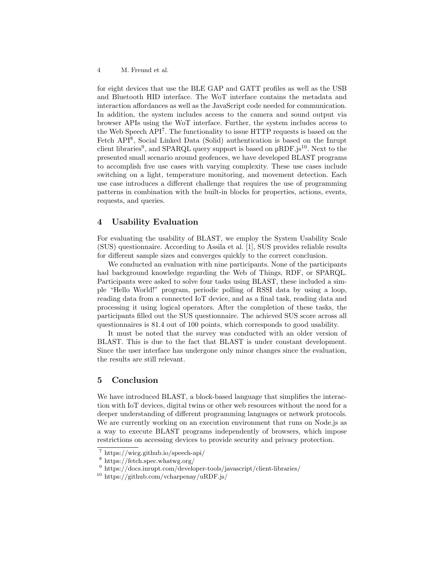for eight devices that use the BLE GAP and GATT profiles as well as the USB and Bluetooth HID interface. The WoT interface contains the metadata and interaction affordances as well as the JavaScript code needed for communication. In addition, the system includes access to the camera and sound output via browser APIs using the WoT interface. Further, the system includes access to the Web Speech API<sup>7</sup>. The functionality to issue HTTP requests is based on the Fetch API<sup>8</sup>, Social Linked Data (Solid) authentication is based on the Inrupt client libraries<sup>9</sup>, and SPARQL query support is based on  $\mu RDF$ . Js<sup>10</sup>. Next to the presented small scenario around geofences, we have developed BLAST programs to accomplish five use cases with varying complexity. These use cases include switching on a light, temperature monitoring, and movement detection. Each use case introduces a different challenge that requires the use of programming patterns in combination with the built-in blocks for properties, actions, events, requests, and queries.

### 4 Usability Evaluation

For evaluating the usability of BLAST, we employ the System Usability Scale (SUS) questionnaire. According to Assila et al. [1], SUS provides reliable results for different sample sizes and converges quickly to the correct conclusion.

We conducted an evaluation with nine participants. None of the participants had background knowledge regarding the Web of Things, RDF, or SPARQL. Participants were asked to solve four tasks using BLAST, these included a simple "Hello World!" program, periodic polling of RSSI data by using a loop, reading data from a connected IoT device, and as a final task, reading data and processing it using logical operators. After the completion of these tasks, the participants filled out the SUS questionnaire. The achieved SUS score across all questionnaires is 81.4 out of 100 points, which corresponds to good usability.

It must be noted that the survey was conducted with an older version of BLAST. This is due to the fact that BLAST is under constant development. Since the user interface has undergone only minor changes since the evaluation, the results are still relevant.

### 5 Conclusion

We have introduced BLAST, a block-based language that simplifies the interaction with IoT devices, digital twins or other web resources without the need for a deeper understanding of different programming languages or network protocols. We are currently working on an execution environment that runs on Node.js as a way to execute BLAST programs independently of browsers, which impose restrictions on accessing devices to provide security and privacy protection.

<sup>7</sup> https://wicg.github.io/speech-api/

<sup>8</sup> https://fetch.spec.whatwg.org/

<sup>&</sup>lt;sup>9</sup> https://docs.inrupt.com/developer-tools/javascript/client-libraries/

<sup>10</sup> https://github.com/vcharpenay/uRDF.js/